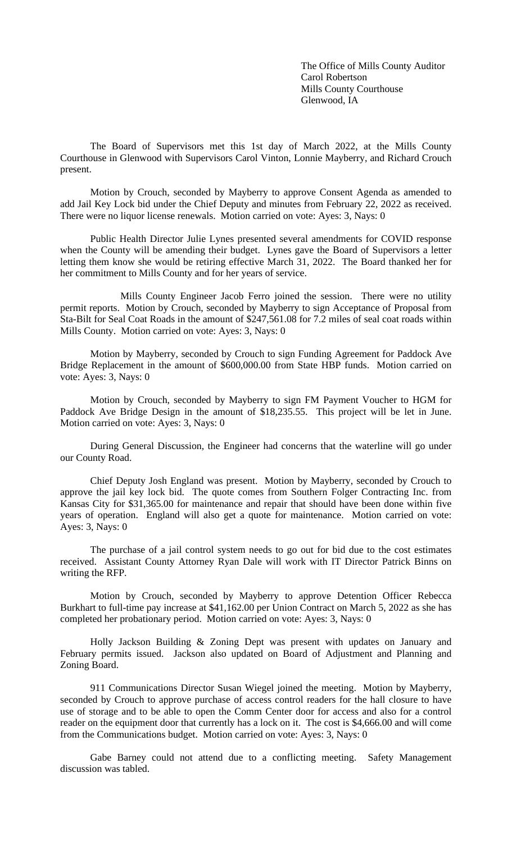The Office of Mills County Auditor Carol Robertson Mills County Courthouse Glenwood, IA

The Board of Supervisors met this 1st day of March 2022, at the Mills County Courthouse in Glenwood with Supervisors Carol Vinton, Lonnie Mayberry, and Richard Crouch present.

Motion by Crouch, seconded by Mayberry to approve Consent Agenda as amended to add Jail Key Lock bid under the Chief Deputy and minutes from February 22, 2022 as received. There were no liquor license renewals. Motion carried on vote: Ayes: 3, Nays: 0

Public Health Director Julie Lynes presented several amendments for COVID response when the County will be amending their budget. Lynes gave the Board of Supervisors a letter letting them know she would be retiring effective March 31, 2022. The Board thanked her for her commitment to Mills County and for her years of service.

Mills County Engineer Jacob Ferro joined the session. There were no utility permit reports. Motion by Crouch, seconded by Mayberry to sign Acceptance of Proposal from Sta-Bilt for Seal Coat Roads in the amount of \$247,561.08 for 7.2 miles of seal coat roads within Mills County. Motion carried on vote: Ayes: 3, Nays: 0

Motion by Mayberry, seconded by Crouch to sign Funding Agreement for Paddock Ave Bridge Replacement in the amount of \$600,000.00 from State HBP funds. Motion carried on vote: Ayes: 3, Nays: 0

Motion by Crouch, seconded by Mayberry to sign FM Payment Voucher to HGM for Paddock Ave Bridge Design in the amount of \$18,235.55. This project will be let in June. Motion carried on vote: Ayes: 3, Nays: 0

During General Discussion, the Engineer had concerns that the waterline will go under our County Road.

Chief Deputy Josh England was present. Motion by Mayberry, seconded by Crouch to approve the jail key lock bid. The quote comes from Southern Folger Contracting Inc. from Kansas City for \$31,365.00 for maintenance and repair that should have been done within five years of operation. England will also get a quote for maintenance. Motion carried on vote: Ayes: 3, Nays: 0

The purchase of a jail control system needs to go out for bid due to the cost estimates received. Assistant County Attorney Ryan Dale will work with IT Director Patrick Binns on writing the RFP.

Motion by Crouch, seconded by Mayberry to approve Detention Officer Rebecca Burkhart to full-time pay increase at \$41,162.00 per Union Contract on March 5, 2022 as she has completed her probationary period. Motion carried on vote: Ayes: 3, Nays: 0

Holly Jackson Building & Zoning Dept was present with updates on January and February permits issued. Jackson also updated on Board of Adjustment and Planning and Zoning Board.

911 Communications Director Susan Wiegel joined the meeting. Motion by Mayberry, seconded by Crouch to approve purchase of access control readers for the hall closure to have use of storage and to be able to open the Comm Center door for access and also for a control reader on the equipment door that currently has a lock on it. The cost is \$4,666.00 and will come from the Communications budget. Motion carried on vote: Ayes: 3, Nays: 0

Gabe Barney could not attend due to a conflicting meeting. Safety Management discussion was tabled.